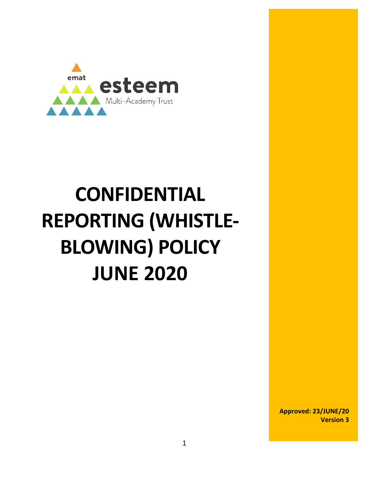

# **CONFIDENTIAL REPORTING (WHISTLE-BLOWING) POLICY JUNE 2020**

**Approved: 23/JUNE/20 Version 3**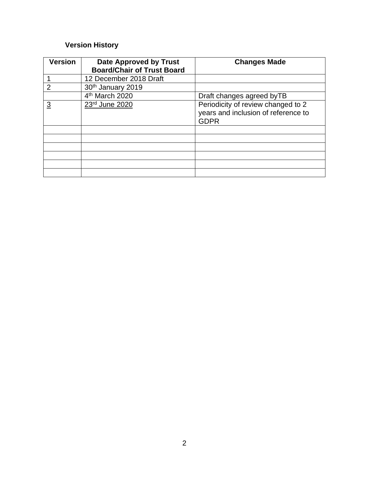### **Version History**

| <b>Version</b> | <b>Date Approved by Trust</b><br><b>Board/Chair of Trust Board</b> | <b>Changes Made</b>                                                                      |
|----------------|--------------------------------------------------------------------|------------------------------------------------------------------------------------------|
|                | 12 December 2018 Draft                                             |                                                                                          |
| 2              | 30 <sup>th</sup> January 2019                                      |                                                                                          |
|                | 4 <sup>th</sup> March 2020                                         | Draft changes agreed by TB                                                               |
| <u>3</u>       | 23rd June 2020                                                     | Periodicity of review changed to 2<br>years and inclusion of reference to<br><b>GDPR</b> |
|                |                                                                    |                                                                                          |
|                |                                                                    |                                                                                          |
|                |                                                                    |                                                                                          |
|                |                                                                    |                                                                                          |
|                |                                                                    |                                                                                          |
|                |                                                                    |                                                                                          |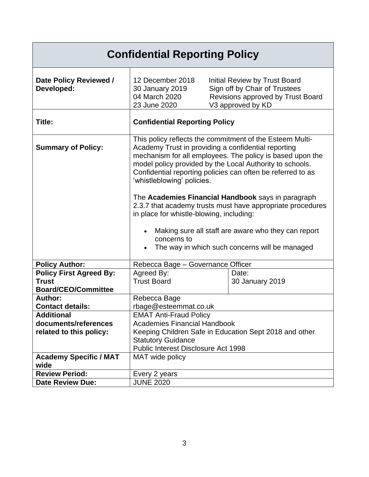| <b>Confidential Reporting Policy</b>                                         |                                                                                                                                                                                                                                                                                                                                                                                                                                                                                                                                                                                                                               |                                                                                                                          |  |  |
|------------------------------------------------------------------------------|-------------------------------------------------------------------------------------------------------------------------------------------------------------------------------------------------------------------------------------------------------------------------------------------------------------------------------------------------------------------------------------------------------------------------------------------------------------------------------------------------------------------------------------------------------------------------------------------------------------------------------|--------------------------------------------------------------------------------------------------------------------------|--|--|
| Date Policy Reviewed /<br>Developed:                                         | 12 December 2018<br>30 January 2019<br>04 March 2020<br>23 June 2020                                                                                                                                                                                                                                                                                                                                                                                                                                                                                                                                                          | Initial Review by Trust Board<br>Sign off by Chair of Trustees<br>Revisions approved by Trust Board<br>V3 approved by KD |  |  |
| Title:                                                                       | <b>Confidential Reporting Policy</b>                                                                                                                                                                                                                                                                                                                                                                                                                                                                                                                                                                                          |                                                                                                                          |  |  |
| <b>Summary of Policy:</b>                                                    | This policy reflects the commitment of the Esteem Multi-<br>Academy Trust in providing a confidential reporting<br>mechanism for all employees. The policy is based upon the<br>model policy provided by the Local Authority to schools.<br>Confidential reporting policies can often be referred to as<br>'whistleblowing' policies.<br>The Academies Financial Handbook says in paragraph<br>2.3.7 that academy trusts must have appropriate procedures<br>in place for whistle-blowing, including:<br>Making sure all staff are aware who they can report<br>concerns to<br>The way in which such concerns will be managed |                                                                                                                          |  |  |
| <b>Policy Author:</b>                                                        | Rebecca Bage - Governance Officer                                                                                                                                                                                                                                                                                                                                                                                                                                                                                                                                                                                             |                                                                                                                          |  |  |
| <b>Policy First Agreed By:</b><br><b>Trust</b><br><b>Board/CEO/Committee</b> | Agreed By:<br><b>Trust Board</b>                                                                                                                                                                                                                                                                                                                                                                                                                                                                                                                                                                                              | Date:<br>30 January 2019                                                                                                 |  |  |
| Author:                                                                      | Rebecca Bage                                                                                                                                                                                                                                                                                                                                                                                                                                                                                                                                                                                                                  |                                                                                                                          |  |  |
| <b>Contact details:</b><br>rbage@esteemmat.co.uk                             |                                                                                                                                                                                                                                                                                                                                                                                                                                                                                                                                                                                                                               |                                                                                                                          |  |  |
| <b>Additional</b>                                                            | <b>EMAT Anti-Fraud Policy</b>                                                                                                                                                                                                                                                                                                                                                                                                                                                                                                                                                                                                 |                                                                                                                          |  |  |
| documents/references                                                         | <b>Academies Financial Handbook</b>                                                                                                                                                                                                                                                                                                                                                                                                                                                                                                                                                                                           |                                                                                                                          |  |  |
| related to this policy:                                                      | Keeping Children Safe in Education Sept 2018 and other                                                                                                                                                                                                                                                                                                                                                                                                                                                                                                                                                                        |                                                                                                                          |  |  |
|                                                                              | <b>Statutory Guidance</b>                                                                                                                                                                                                                                                                                                                                                                                                                                                                                                                                                                                                     |                                                                                                                          |  |  |
|                                                                              | Public Interest Disclosure Act 1998                                                                                                                                                                                                                                                                                                                                                                                                                                                                                                                                                                                           |                                                                                                                          |  |  |
| <b>Academy Specific / MAT</b><br>wide                                        | MAT wide policy                                                                                                                                                                                                                                                                                                                                                                                                                                                                                                                                                                                                               |                                                                                                                          |  |  |
| <b>Review Period:</b>                                                        | Every 2 years                                                                                                                                                                                                                                                                                                                                                                                                                                                                                                                                                                                                                 |                                                                                                                          |  |  |
| <b>Date Review Due:</b>                                                      | <b>JUNE 2020</b>                                                                                                                                                                                                                                                                                                                                                                                                                                                                                                                                                                                                              |                                                                                                                          |  |  |
|                                                                              |                                                                                                                                                                                                                                                                                                                                                                                                                                                                                                                                                                                                                               |                                                                                                                          |  |  |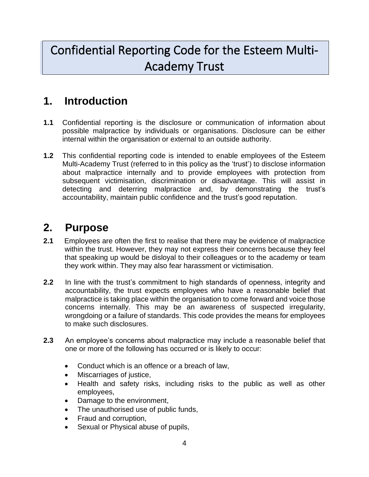## Confidential Reporting Code for the Esteem Multi-Academy Trust

## **1. Introduction**

- **1.1** Confidential reporting is the disclosure or communication of information about possible malpractice by individuals or organisations. Disclosure can be either internal within the organisation or external to an outside authority.
- **1.2** This confidential reporting code is intended to enable employees of the Esteem Multi-Academy Trust (referred to in this policy as the 'trust') to disclose information about malpractice internally and to provide employees with protection from subsequent victimisation, discrimination or disadvantage. This will assist in detecting and deterring malpractice and, by demonstrating the trust's accountability, maintain public confidence and the trust's good reputation.

## **2. Purpose**

- **2.1** Employees are often the first to realise that there may be evidence of malpractice within the trust. However, they may not express their concerns because they feel that speaking up would be disloyal to their colleagues or to the academy or team they work within. They may also fear harassment or victimisation.
- **2.2** In line with the trust's commitment to high standards of openness, integrity and accountability, the trust expects employees who have a reasonable belief that malpractice is taking place within the organisation to come forward and voice those concerns internally. This may be an awareness of suspected irregularity, wrongdoing or a failure of standards. This code provides the means for employees to make such disclosures.
- **2.3** An employee's concerns about malpractice may include a reasonable belief that one or more of the following has occurred or is likely to occur:
	- Conduct which is an offence or a breach of law,
	- Miscarriages of justice,
	- Health and safety risks, including risks to the public as well as other employees,
	- Damage to the environment,
	- The unauthorised use of public funds,
	- Fraud and corruption,
	- Sexual or Physical abuse of pupils,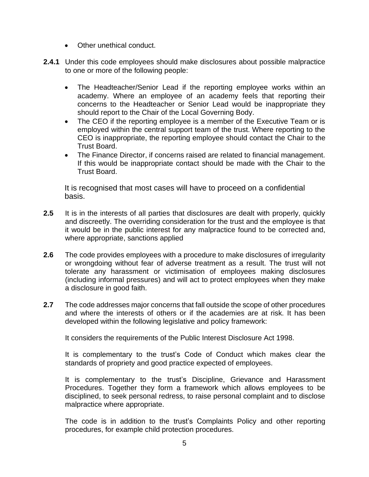- Other unethical conduct.
- **2.4.1** Under this code employees should make disclosures about possible malpractice to one or more of the following people:
	- The Headteacher/Senior Lead if the reporting employee works within an academy. Where an employee of an academy feels that reporting their concerns to the Headteacher or Senior Lead would be inappropriate they should report to the Chair of the Local Governing Body.
	- The CEO if the reporting employee is a member of the Executive Team or is employed within the central support team of the trust. Where reporting to the CEO is inappropriate, the reporting employee should contact the Chair to the Trust Board.
	- The Finance Director, if concerns raised are related to financial management. If this would be inappropriate contact should be made with the Chair to the Trust Board.

It is recognised that most cases will have to proceed on a confidential basis.

- **2.5** It is in the interests of all parties that disclosures are dealt with properly, quickly and discreetly. The overriding consideration for the trust and the employee is that it would be in the public interest for any malpractice found to be corrected and, where appropriate, sanctions applied
- **2.6** The code provides employees with a procedure to make disclosures of irregularity or wrongdoing without fear of adverse treatment as a result. The trust will not tolerate any harassment or victimisation of employees making disclosures (including informal pressures) and will act to protect employees when they make a disclosure in good faith.
- **2.7** The code addresses major concerns that fall outside the scope of other procedures and where the interests of others or if the academies are at risk. It has been developed within the following legislative and policy framework:

It considers the requirements of the Public Interest Disclosure Act 1998.

It is complementary to the trust's Code of Conduct which makes clear the standards of propriety and good practice expected of employees.

It is complementary to the trust's Discipline, Grievance and Harassment Procedures. Together they form a framework which allows employees to be disciplined, to seek personal redress, to raise personal complaint and to disclose malpractice where appropriate.

The code is in addition to the trust's Complaints Policy and other reporting procedures, for example child protection procedures.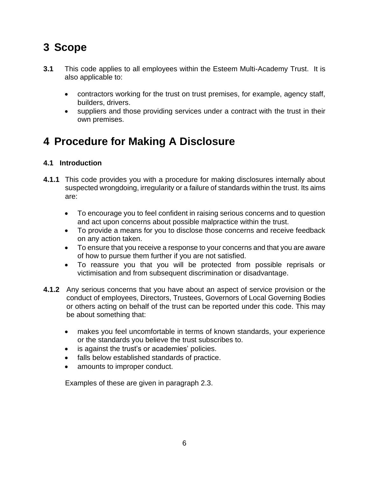## **3 Scope**

- **3.1** This code applies to all employees within the Esteem Multi-Academy Trust. It is also applicable to:
	- contractors working for the trust on trust premises, for example, agency staff, builders, drivers.
	- suppliers and those providing services under a contract with the trust in their own premises.

## **4 Procedure for Making A Disclosure**

#### **4.1 Introduction**

- **4.1.1** This code provides you with a procedure for making disclosures internally about suspected wrongdoing, irregularity or a failure of standards within the trust. Its aims are:
	- To encourage you to feel confident in raising serious concerns and to question and act upon concerns about possible malpractice within the trust.
	- To provide a means for you to disclose those concerns and receive feedback on any action taken.
	- To ensure that you receive a response to your concerns and that you are aware of how to pursue them further if you are not satisfied.
	- To reassure you that you will be protected from possible reprisals or victimisation and from subsequent discrimination or disadvantage.
- **4.1.2** Any serious concerns that you have about an aspect of service provision or the conduct of employees, Directors, Trustees, Governors of Local Governing Bodies or others acting on behalf of the trust can be reported under this code. This may be about something that:
	- makes you feel uncomfortable in terms of known standards, your experience or the standards you believe the trust subscribes to.
	- is against the trust's or academies' policies.
	- falls below established standards of practice.
	- amounts to improper conduct.

Examples of these are given in paragraph 2.3.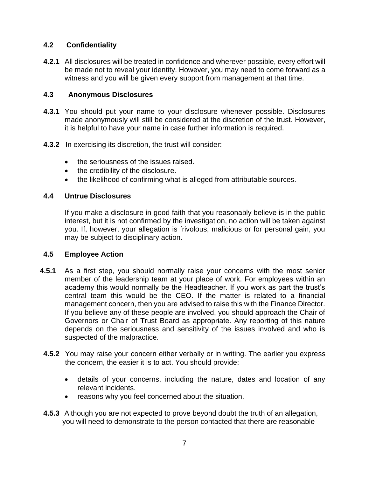#### **4.2 Confidentiality**

**4.2.1** All disclosures will be treated in confidence and wherever possible, every effort will be made not to reveal your identity. However, you may need to come forward as a witness and you will be given every support from management at that time.

#### **4.3 Anonymous Disclosures**

- **4.3.1** You should put your name to your disclosure whenever possible. Disclosures made anonymously will still be considered at the discretion of the trust. However, it is helpful to have your name in case further information is required.
- **4.3.2** In exercising its discretion, the trust will consider:
	- the seriousness of the issues raised.
	- the credibility of the disclosure.
	- the likelihood of confirming what is alleged from attributable sources.

#### **4.4 Untrue Disclosures**

If you make a disclosure in good faith that you reasonably believe is in the public interest, but it is not confirmed by the investigation, no action will be taken against you. If, however, your allegation is frivolous, malicious or for personal gain, you may be subject to disciplinary action.

#### **4.5 Employee Action**

- **4.5.1** As a first step, you should normally raise your concerns with the most senior member of the leadership team at your place of work. For employees within an academy this would normally be the Headteacher. If you work as part the trust's central team this would be the CEO. If the matter is related to a financial management concern, then you are advised to raise this with the Finance Director. If you believe any of these people are involved, you should approach the Chair of Governors or Chair of Trust Board as appropriate. Any reporting of this nature depends on the seriousness and sensitivity of the issues involved and who is suspected of the malpractice.
- **4.5.2** You may raise your concern either verbally or in writing. The earlier you express the concern, the easier it is to act. You should provide:
	- details of your concerns, including the nature, dates and location of any relevant incidents.
	- reasons why you feel concerned about the situation.
- **4.5.3** Although you are not expected to prove beyond doubt the truth of an allegation, you will need to demonstrate to the person contacted that there are reasonable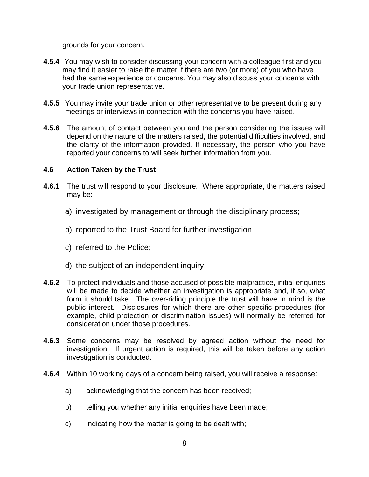grounds for your concern.

- **4.5.4** You may wish to consider discussing your concern with a colleague first and you may find it easier to raise the matter if there are two (or more) of you who have had the same experience or concerns. You may also discuss your concerns with your trade union representative.
- **4.5.5** You may invite your trade union or other representative to be present during any meetings or interviews in connection with the concerns you have raised.
- **4.5.6** The amount of contact between you and the person considering the issues will depend on the nature of the matters raised, the potential difficulties involved, and the clarity of the information provided. If necessary, the person who you have reported your concerns to will seek further information from you.

#### **4.6 Action Taken by the Trust**

- **4.6.1** The trust will respond to your disclosure. Where appropriate, the matters raised may be:
	- a) investigated by management or through the disciplinary process;
	- b) reported to the Trust Board for further investigation
	- c) referred to the Police;
	- d) the subject of an independent inquiry.
- **4.6.2** To protect individuals and those accused of possible malpractice, initial enquiries will be made to decide whether an investigation is appropriate and, if so, what form it should take. The over-riding principle the trust will have in mind is the public interest. Disclosures for which there are other specific procedures (for example, child protection or discrimination issues) will normally be referred for consideration under those procedures.
- **4.6.3** Some concerns may be resolved by agreed action without the need for investigation. If urgent action is required, this will be taken before any action investigation is conducted.
- **4.6.4** Within 10 working days of a concern being raised, you will receive a response:
	- a) acknowledging that the concern has been received;
	- b) telling you whether any initial enquiries have been made;
	- c) indicating how the matter is going to be dealt with;